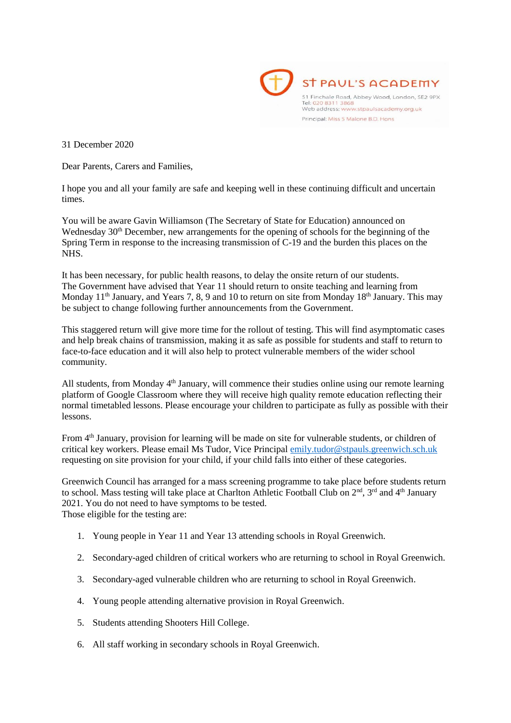

31 December 2020

Dear Parents, Carers and Families,

I hope you and all your family are safe and keeping well in these continuing difficult and uncertain times.

You will be aware Gavin Williamson (The Secretary of State for Education) announced on Wednesday  $30<sup>th</sup>$  December, new arrangements for the opening of schools for the beginning of the Spring Term in response to the increasing transmission of C-19 and the burden this places on the NHS.

It has been necessary, for public health reasons, to delay the onsite return of our students. The Government have advised that Year 11 should return to onsite teaching and learning from Monday  $11<sup>th</sup>$  January, and Years 7, 8, 9 and 10 to return on site from Monday  $18<sup>th</sup>$  January. This may be subject to change following further announcements from the Government.

This staggered return will give more time for the rollout of testing. This will find asymptomatic cases and help break chains of transmission, making it as safe as possible for students and staff to return to face-to-face education and it will also help to protect vulnerable members of the wider school community.

All students, from Monday 4<sup>th</sup> January, will commence their studies online using our remote learning platform of Google Classroom where they will receive high quality remote education reflecting their normal timetabled lessons. Please encourage your children to participate as fully as possible with their lessons.

From 4th January, provision for learning will be made on site for vulnerable students, or children of critical key workers. Please email Ms Tudor, Vice Principal [emily.tudor@stpauls.greenwich.sch.uk](mailto:emily.tudor@stpauls.greenwich.sch.uk) requesting on site provision for your child, if your child falls into either of these categories.

Greenwich Council has arranged for a mass screening programme to take place before students return to school. Mass testing will take place at Charlton Athletic Football Club on  $2<sup>nd</sup>$ ,  $3<sup>rd</sup>$  and  $4<sup>th</sup>$  January 2021. You do not need to have symptoms to be tested. Those eligible for the testing are:

- 1. Young people in Year 11 and Year 13 attending schools in Royal Greenwich.
- 2. Secondary-aged children of critical workers who are returning to school in Royal Greenwich.
- 3. Secondary-aged vulnerable children who are returning to school in Royal Greenwich.
- 4. Young people attending alternative provision in Royal Greenwich.
- 5. Students attending Shooters Hill College.
- 6. All staff working in secondary schools in Royal Greenwich.